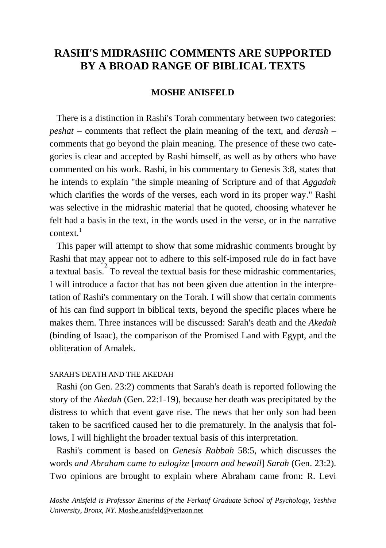# **RASHI'S MIDRASHIC COMMENTS ARE SUPPORTED BY A BROAD RANGE OF BIBLICAL TEXTS**

## **MOSHE ANISFELD**

 There is a distinction in Rashi's Torah commentary between two categories: *peshat* – comments that reflect the plain meaning of the text, and *derash* – comments that go beyond the plain meaning. The presence of these two categories is clear and accepted by Rashi himself, as well as by others who have commented on his work. Rashi, in his commentary to Genesis 3:8, states that he intends to explain "the simple meaning of Scripture and of that *Aggadah* which clarifies the words of the verses, each word in its proper way." Rashi was selective in the midrashic material that he quoted, choosing whatever he felt had a basis in the text, in the words used in the verse, or in the narrative  $context<sup>1</sup>$ 

 This paper will attempt to show that some midrashic comments brought by Rashi that may appear not to adhere to this self-imposed rule do in fact have a textual basis. To reveal the textual basis for these midrashic commentaries, I will introduce a factor that has not been given due attention in the interpretation of Rashi's commentary on the Torah. I will show that certain comments of his can find support in biblical texts, beyond the specific places where he makes them. Three instances will be discussed: Sarah's death and the *Akedah* (binding of Isaac), the comparison of the Promised Land with Egypt, and the obliteration of Amalek.

#### SARAH'S DEATH AND THE AKEDAH

 Rashi (on Gen. 23:2) comments that Sarah's death is reported following the story of the *Akedah* (Gen. 22:1-19), because her death was precipitated by the distress to which that event gave rise. The news that her only son had been taken to be sacrificed caused her to die prematurely. In the analysis that follows, I will highlight the broader textual basis of this interpretation.

 Rashi's comment is based on *Genesis Rabbah* 58:5, which discusses the words *and Abraham came to eulogize* [*mourn and bewail*] *Sarah* (Gen. 23:2). Two opinions are brought to explain where Abraham came from: R. Levi

*Moshe Anisfeld is Professor Emeritus of the Ferkauf Graduate School of Psychology, Yeshiva University, Bronx, NY.* [Moshe.anisfeld@verizon.net](mailto:Moshe.anisfeld@verizon.net)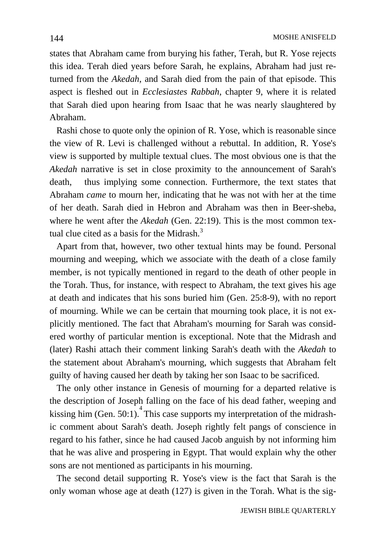states that Abraham came from burying his father, Terah, but R. Yose rejects this idea. Terah died years before Sarah, he explains, Abraham had just returned from the *Akedah*, and Sarah died from the pain of that episode. This aspect is fleshed out in *Ecclesiastes Rabbah*, chapter 9, where it is related that Sarah died upon hearing from Isaac that he was nearly slaughtered by Abraham.

 Rashi chose to quote only the opinion of R. Yose, which is reasonable since the view of R. Levi is challenged without a rebuttal. In addition, R. Yose's view is supported by multiple textual clues. The most obvious one is that the *Akedah* narrative is set in close proximity to the announcement of Sarah's death, thus implying some connection. Furthermore, the text states that Abraham *came* to mourn her, indicating that he was not with her at the time of her death. Sarah died in Hebron and Abraham was then in Beer-sheba, where he went after the *Akedah* (Gen. 22:19). This is the most common textual clue cited as a basis for the Midrash.<sup>3</sup>

 Apart from that, however, two other textual hints may be found. Personal mourning and weeping, which we associate with the death of a close family member, is not typically mentioned in regard to the death of other people in the Torah. Thus, for instance, with respect to Abraham, the text gives his age at death and indicates that his sons buried him (Gen. 25:8-9), with no report of mourning. While we can be certain that mourning took place, it is not explicitly mentioned. The fact that Abraham's mourning for Sarah was considered worthy of particular mention is exceptional. Note that the Midrash and (later) Rashi attach their comment linking Sarah's death with the *Akedah* to the statement about Abraham's mourning, which suggests that Abraham felt guilty of having caused her death by taking her son Isaac to be sacrificed.

 The only other instance in Genesis of mourning for a departed relative is the description of Joseph falling on the face of his dead father, weeping and kissing him (Gen.  $50:1$ ). This case supports my interpretation of the midrashic comment about Sarah's death. Joseph rightly felt pangs of conscience in regard to his father, since he had caused Jacob anguish by not informing him that he was alive and prospering in Egypt. That would explain why the other sons are not mentioned as participants in his mourning.

 The second detail supporting R. Yose's view is the fact that Sarah is the only woman whose age at death (127) is given in the Torah. What is the sig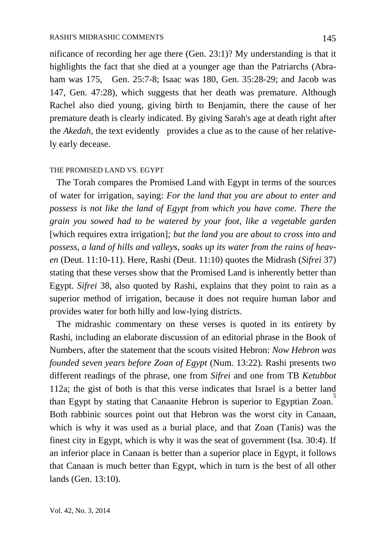nificance of recording her age there (Gen. 23:1)? My understanding is that it highlights the fact that she died at a younger age than the Patriarchs (Abraham was 175, Gen. 25:7-8; Isaac was 180, Gen. 35:28-29; and Jacob was 147, Gen. 47:28), which suggests that her death was premature. Although Rachel also died young, giving birth to Benjamin, there the cause of her premature death is clearly indicated. By giving Sarah's age at death right after the *Akedah*, the text evidently provides a clue as to the cause of her relatively early decease.

#### THE PROMISED LAND VS. EGYPT

 The Torah compares the Promised Land with Egypt in terms of the sources of water for irrigation, saying: *For the land that you are about to enter and possess is not like the land of Egypt from which you have come. There the grain you sowed had to be watered by your foot, like a vegetable garden* [which requires extra irrigation]*; but the land you are about to cross into and possess, a land of hills and valleys, soaks up its water from the rains of heaven* (Deut. 11:10-11). Here, Rashi (Deut. 11:10) quotes the Midrash (*Sifrei* 37) stating that these verses show that the Promised Land is inherently better than Egypt. *Sifrei* 38, also quoted by Rashi, explains that they point to rain as a superior method of irrigation, because it does not require human labor and provides water for both hilly and low-lying districts.

 The midrashic commentary on these verses is quoted in its entirety by Rashi, including an elaborate discussion of an editorial phrase in the Book of Numbers, after the statement that the scouts visited Hebron: *Now Hebron was founded seven years before Zoan of Egypt* (Num. 13:22). Rashi presents two different readings of the phrase, one from *Sifrei* and one from TB *Ketubbot* 112a; the gist of both is that this verse indicates that Israel is a better land than Egypt by stating that Canaanite Hebron is superior to Egyptian Zoan.<sup>5</sup> Both rabbinic sources point out that Hebron was the worst city in Canaan, which is why it was used as a burial place, and that Zoan (Tanis) was the finest city in Egypt, which is why it was the seat of government (Isa. 30:4). If an inferior place in Canaan is better than a superior place in Egypt, it follows that Canaan is much better than Egypt, which in turn is the best of all other lands (Gen. 13:10).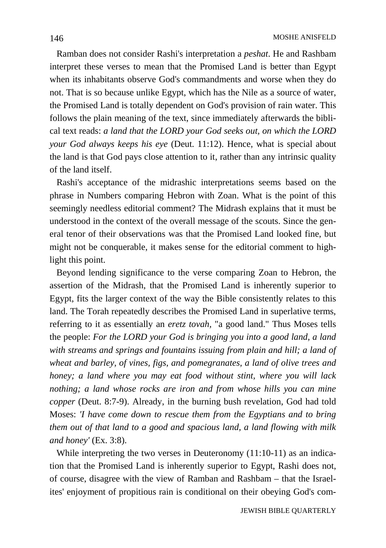Ramban does not consider Rashi's interpretation a *peshat*. He and Rashbam interpret these verses to mean that the Promised Land is better than Egypt when its inhabitants observe God's commandments and worse when they do not. That is so because unlike Egypt, which has the Nile as a source of water, the Promised Land is totally dependent on God's provision of rain water. This follows the plain meaning of the text, since immediately afterwards the biblical text reads: *a land that the LORD your God seeks out, on which the LORD your God always keeps his eye* (Deut. 11:12). Hence, what is special about the land is that God pays close attention to it, rather than any intrinsic quality of the land itself.

 Rashi's acceptance of the midrashic interpretations seems based on the phrase in Numbers comparing Hebron with Zoan. What is the point of this seemingly needless editorial comment? The Midrash explains that it must be understood in the context of the overall message of the scouts. Since the general tenor of their observations was that the Promised Land looked fine, but might not be conquerable, it makes sense for the editorial comment to highlight this point.

 Beyond lending significance to the verse comparing Zoan to Hebron, the assertion of the Midrash, that the Promised Land is inherently superior to Egypt, fits the larger context of the way the Bible consistently relates to this land. The Torah repeatedly describes the Promised Land in superlative terms, referring to it as essentially an *eretz tovah,* "a good land." Thus Moses tells the people: *For the LORD your God is bringing you into a good land, a land with streams and springs and fountains issuing from plain and hill; a land of wheat and barley, of vines, figs, and pomegranates, a land of olive trees and honey; a land where you may eat food without stint, where you will lack nothing; a land whose rocks are iron and from whose hills you can mine copper* (Deut. 8:7-9). Already, in the burning bush revelation, God had told Moses: *'I have come down to rescue them from the Egyptians and to bring them out of that land to a good and spacious land, a land flowing with milk and honey'* (Ex. 3:8).

 While interpreting the two verses in Deuteronomy (11:10-11) as an indication that the Promised Land is inherently superior to Egypt, Rashi does not, of course, disagree with the view of Ramban and Rashbam – that the Israelites' enjoyment of propitious rain is conditional on their obeying God's com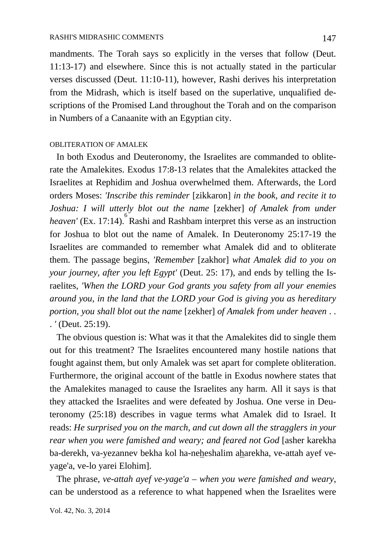mandments. The Torah says so explicitly in the verses that follow (Deut. 11:13-17) and elsewhere. Since this is not actually stated in the particular verses discussed (Deut. 11:10-11), however, Rashi derives his interpretation from the Midrash, which is itself based on the superlative, unqualified descriptions of the Promised Land throughout the Torah and on the comparison in Numbers of a Canaanite with an Egyptian city.

### OBLITERATION OF AMALEK

 In both Exodus and Deuteronomy, the Israelites are commanded to obliterate the Amalekites. Exodus 17:8-13 relates that the Amalekites attacked the Israelites at Rephidim and Joshua overwhelmed them. Afterwards, the Lord orders Moses: *'Inscribe this reminder* [zikkaron] *in the book, and recite it to Joshua: I will utterly blot out the name* [zekher] *of Amalek from under*  heaven' (Ex. 17:14). Rashi and Rashbam interpret this verse as an instruction for Joshua to blot out the name of Amalek. In Deuteronomy 25:17-19 the Israelites are commanded to remember what Amalek did and to obliterate them. The passage begins, *'Remember* [zakhor] *what Amalek did to you on your journey, after you left Egypt'* (Deut. 25: 17), and ends by telling the Israelites, *'When the LORD your God grants you safety from all your enemies around you, in the land that the LORD your God is giving you as hereditary portion, you shall blot out the name* [zekher] *of Amalek from under heaven* . . . *'* (Deut. 25:19).

 The obvious question is: What was it that the Amalekites did to single them out for this treatment? The Israelites encountered many hostile nations that fought against them, but only Amalek was set apart for complete obliteration. Furthermore, the original account of the battle in Exodus nowhere states that the Amalekites managed to cause the Israelites any harm. All it says is that they attacked the Israelites and were defeated by Joshua. One verse in Deuteronomy (25:18) describes in vague terms what Amalek did to Israel. It reads: *He surprised you on the march, and cut down all the stragglers in your rear when you were famished and weary; and feared not God* [asher karekha ba-derekh, va-yezannev bekha kol ha-neheshalim aharekha, ve-attah ayef veyage'a, ve-lo yarei Elohim].

 The phrase, *ve-attah ayef ve-yage'a* – *when you were famished and weary*, can be understood as a reference to what happened when the Israelites were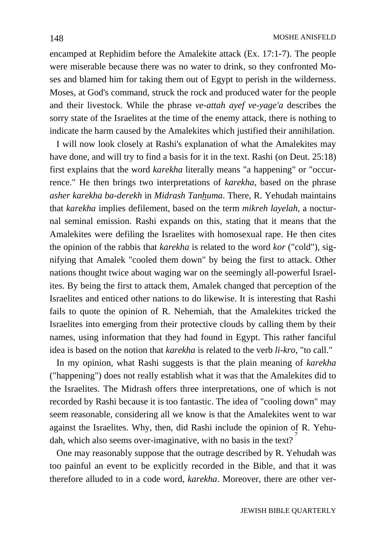encamped at Rephidim before the Amalekite attack (Ex. 17:1-7). The people were miserable because there was no water to drink, so they confronted Moses and blamed him for taking them out of Egypt to perish in the wilderness. Moses, at God's command, struck the rock and produced water for the people and their livestock. While the phrase *ve-attah ayef ve-yage'a* describes the sorry state of the Israelites at the time of the enemy attack, there is nothing to indicate the harm caused by the Amalekites which justified their annihilation.

 I will now look closely at Rashi's explanation of what the Amalekites may have done, and will try to find a basis for it in the text. Rashi (on Deut. 25:18) first explains that the word *karekha* literally means "a happening" or "occurrence." He then brings two interpretations of *karekha*, based on the phrase *asher karekha ba-derekh* in *Midrash Tanhuma*. There, R. Yehudah maintains that *karekha* implies defilement, based on the term *mikreh layelah*, a nocturnal seminal emission. Rashi expands on this, stating that it means that the Amalekites were defiling the Israelites with homosexual rape. He then cites the opinion of the rabbis that *karekha* is related to the word *kor* ("cold"), signifying that Amalek "cooled them down" by being the first to attack. Other nations thought twice about waging war on the seemingly all-powerful Israelites. By being the first to attack them, Amalek changed that perception of the Israelites and enticed other nations to do likewise. It is interesting that Rashi fails to quote the opinion of R. Nehemiah, that the Amalekites tricked the Israelites into emerging from their protective clouds by calling them by their names, using information that they had found in Egypt. This rather fanciful idea is based on the notion that *karekha* is related to the verb *li-kro*, "to call."

 In my opinion, what Rashi suggests is that the plain meaning of *karekha* ("happening") does not really establish what it was that the Amalekites did to the Israelites. The Midrash offers three interpretations, one of which is not recorded by Rashi because it is too fantastic. The idea of "cooling down" may seem reasonable, considering all we know is that the Amalekites went to war against the Israelites. Why, then, did Rashi include the opinion of R. Yehudah, which also seems over-imaginative, with no basis in the text?

 One may reasonably suppose that the outrage described by R. Yehudah was too painful an event to be explicitly recorded in the Bible, and that it was therefore alluded to in a code word, *karekha*. Moreover, there are other ver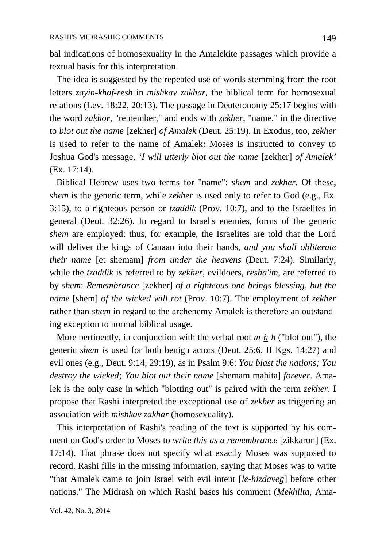bal indications of homosexuality in the Amalekite passages which provide a textual basis for this interpretation.

 The idea is suggested by the repeated use of words stemming from the root letters *zayin-khaf-resh* in *mishkav zakhar*, the biblical term for homosexual relations (Lev. 18:22, 20:13). The passage in Deuteronomy 25:17 begins with the word *zakhor*, "remember," and ends with *zekher*, "name," in the directive to *blot out the name* [zekher] *of Amalek* (Deut. 25:19). In Exodus, too, *zekher* is used to refer to the name of Amalek: Moses is instructed to convey to Joshua God's message, *'I will utterly blot out the name* [zekher] *of Amalek'* (Ex. 17:14).

 Biblical Hebrew uses two terms for "name": *shem* and *zekher*. Of these, *shem* is the generic term, while *zekher* is used only to refer to God (e.g., Ex. 3:15), to a righteous person or *tzaddik* (Prov. 10:7), and to the Israelites in general (Deut. 32:26). In regard to Israel's enemies, forms of the generic *shem* are employed: thus, for example, the Israelites are told that the Lord will deliver the kings of Canaan into their hands, *and you shall obliterate their name* [et shemam] *from under the heavens* (Deut. 7:24). Similarly, while the *tzaddik* is referred to by *zekher*, evildoers, *resha'im*, are referred to by *shem*: *Remembrance* [zekher] *of a righteous one brings blessing, but the name* [shem] *of the wicked will rot* (Prov. 10:7). The employment of *zekher* rather than *shem* in regard to the archenemy Amalek is therefore an outstanding exception to normal biblical usage.

More pertinently, in conjunction with the verbal root  $m-h-h$  ("blot out"), the generic *shem* is used for both benign actors (Deut. 25:6, II Kgs. 14:27) and evil ones (e.g., Deut. 9:14, 29:19), as in Psalm 9:6: *You blast the nations; You destroy the wicked; You blot out their name* [shemam mahita] *forever*. Amalek is the only case in which "blotting out" is paired with the term *zekher*. I propose that Rashi interpreted the exceptional use of *zekher* as triggering an association with *mishkav zakhar* (homosexuality).

 This interpretation of Rashi's reading of the text is supported by his comment on God's order to Moses to *write this as a remembrance* [zikkaron] (Ex. 17:14). That phrase does not specify what exactly Moses was supposed to record. Rashi fills in the missing information, saying that Moses was to write "that Amalek came to join Israel with evil intent [*le-hizdaveg*] before other nations." The Midrash on which Rashi bases his comment (*Mekhilta*, Ama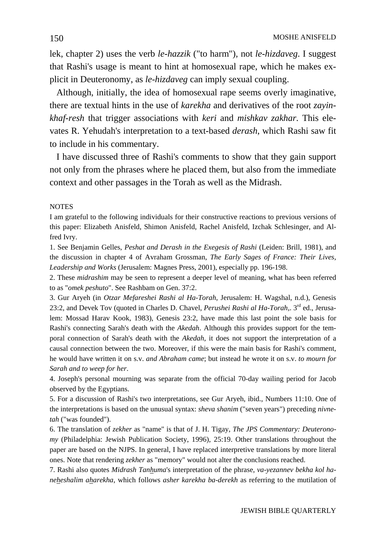lek, chapter 2) uses the verb *le-hazzik* ("to harm"), not *le-hizdaveg*. I suggest that Rashi's usage is meant to hint at homosexual rape, which he makes explicit in Deuteronomy, as *le-hizdaveg* can imply sexual coupling.

 Although, initially, the idea of homosexual rape seems overly imaginative, there are textual hints in the use of *karekha* and derivatives of the root *zayinkhaf-resh* that trigger associations with *keri* and *mishkav zakhar*. This elevates R. Yehudah's interpretation to a text-based *derash*, which Rashi saw fit to include in his commentary.

 I have discussed three of Rashi's comments to show that they gain support not only from the phrases where he placed them, but also from the immediate context and other passages in the Torah as well as the Midrash.

#### **NOTES**

I am grateful to the following individuals for their constructive reactions to previous versions of this paper: Elizabeth Anisfeld, Shimon Anisfeld, Rachel Anisfeld, Izchak Schlesinger, and Alfred Ivry.

1. See Benjamin Gelles, *Peshat and Derash in the Exegesis of Rashi* (Leiden: Brill, 1981), and the discussion in chapter 4 of Avraham Grossman, *The Early Sages of France: Their Lives, Leadership and Works* (Jerusalem: Magnes Press, 2001), especially pp. 196-198.

2. These *midrashim* may be seen to represent a deeper level of meaning, what has been referred to as "*omek peshuto*". See Rashbam on Gen. 37:2.

3. Gur Aryeh (in *Otzar Mefareshei Rashi al Ha-Torah*, Jerusalem: H. Wagshal, n.d.), Genesis 23:2, and Devek Tov (quoted in Charles D. Chavel, *Perushei Rashi al Ha-Torah,*. 3rd ed., Jerusalem: Mossad Harav Kook, 1983), Genesis 23:2, have made this last point the sole basis for Rashi's connecting Sarah's death with the *Akedah*. Although this provides support for the temporal connection of Sarah's death with the *Akedah*, it does not support the interpretation of a causal connection between the two. Moreover, if this were the main basis for Rashi's comment, he would have written it on s.v. *and Abraham came*; but instead he wrote it on s.v. *to mourn for Sarah and to weep for her*.

4. Joseph's personal mourning was separate from the official 70-day wailing period for Jacob observed by the Egyptians.

5. For a discussion of Rashi's two interpretations, see Gur Aryeh, ibid., Numbers 11:10. One of the interpretations is based on the unusual syntax: *sheva shanim* ("seven years") preceding *nivnetah* ("was founded").

6. The translation of *zekher* as "name" is that of J. H. Tigay, *The JPS Commentary: Deuteronomy* (Philadelphia: Jewish Publication Society, 1996), 25:19. Other translations throughout the paper are based on the NJPS. In general, I have replaced interpretive translations by more literal ones. Note that rendering *zekher* as "memory" would not alter the conclusions reached.

7. Rashi also quotes *Midrash Tanhuma*'s interpretation of the phrase, *va-yezannev bekha kol haneheshalim aharekha*, which follows *asher karekha ba-derekh* as referring to the mutilation of